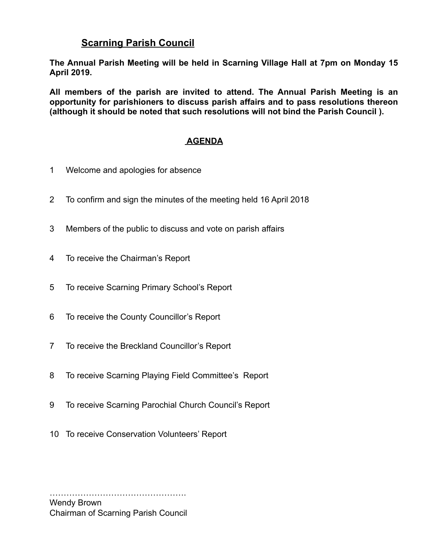### **Scarning Parish Council**

**The Annual Parish Meeting will be held in Scarning Village Hall at 7pm on Monday 15 April 2019.** 

**All members of the parish are invited to attend. The Annual Parish Meeting is an opportunity for parishioners to discuss parish affairs and to pass resolutions thereon (although it should be noted that such resolutions will not bind the Parish Council ).** 

#### **AGENDA**

- 1 Welcome and apologies for absence
- 2 To confirm and sign the minutes of the meeting held 16 April 2018
- 3 Members of the public to discuss and vote on parish affairs
- 4 To receive the Chairman's Report
- 5 To receive Scarning Primary School's Report
- 6 To receive the County Councillor's Report
- 7 To receive the Breckland Councillor's Report
- 8 To receive Scarning Playing Field Committee's Report
- 9 To receive Scarning Parochial Church Council's Report
- 10 To receive Conservation Volunteers' Report

…………………………………………. Wendy Brown Chairman of Scarning Parish Council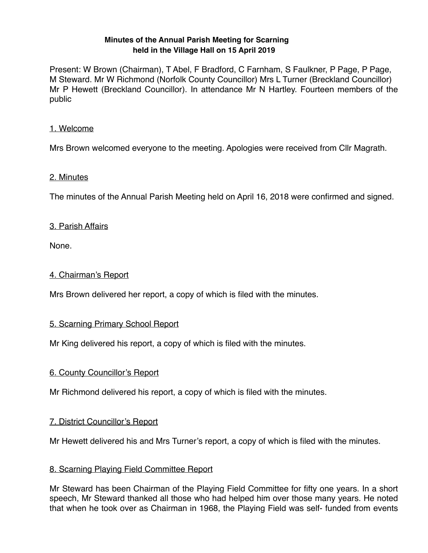#### **Minutes of the Annual Parish Meeting for Scarning held in the Village Hall on 15 April 2019**

Present: W Brown (Chairman), T Abel, F Bradford, C Farnham, S Faulkner, P Page, P Page, M Steward. Mr W Richmond (Norfolk County Councillor) Mrs L Turner (Breckland Councillor) Mr P Hewett (Breckland Councillor). In attendance Mr N Hartley. Fourteen members of the public

#### 1. Welcome

Mrs Brown welcomed everyone to the meeting. Apologies were received from Cllr Magrath.

#### 2. Minutes

The minutes of the Annual Parish Meeting held on April 16, 2018 were confirmed and signed.

#### 3. Parish Affairs

None.

#### 4. Chairman's Report

Mrs Brown delivered her report, a copy of which is filed with the minutes.

#### 5. Scarning Primary School Report

Mr King delivered his report, a copy of which is filed with the minutes.

#### 6. County Councillor's Report

Mr Richmond delivered his report, a copy of which is filed with the minutes.

#### 7. District Councillor's Report

Mr Hewett delivered his and Mrs Turner's report, a copy of which is filed with the minutes.

#### 8. Scarning Playing Field Committee Report

Mr Steward has been Chairman of the Playing Field Committee for fifty one years. In a short speech, Mr Steward thanked all those who had helped him over those many years. He noted that when he took over as Chairman in 1968, the Playing Field was self- funded from events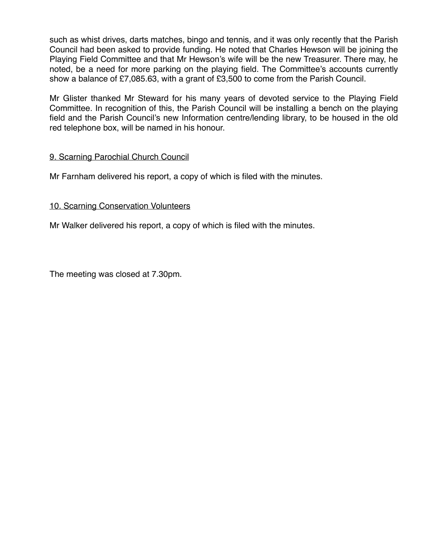such as whist drives, darts matches, bingo and tennis, and it was only recently that the Parish Council had been asked to provide funding. He noted that Charles Hewson will be joining the Playing Field Committee and that Mr Hewson's wife will be the new Treasurer. There may, he noted, be a need for more parking on the playing field. The Committee's accounts currently show a balance of £7,085.63, with a grant of £3,500 to come from the Parish Council.

Mr Glister thanked Mr Steward for his many years of devoted service to the Playing Field Committee. In recognition of this, the Parish Council will be installing a bench on the playing field and the Parish Council's new Information centre/lending library, to be housed in the old red telephone box, will be named in his honour.

#### 9. Scarning Parochial Church Council

Mr Farnham delivered his report, a copy of which is filed with the minutes.

#### 10. Scarning Conservation Volunteers

Mr Walker delivered his report, a copy of which is filed with the minutes.

The meeting was closed at 7.30pm.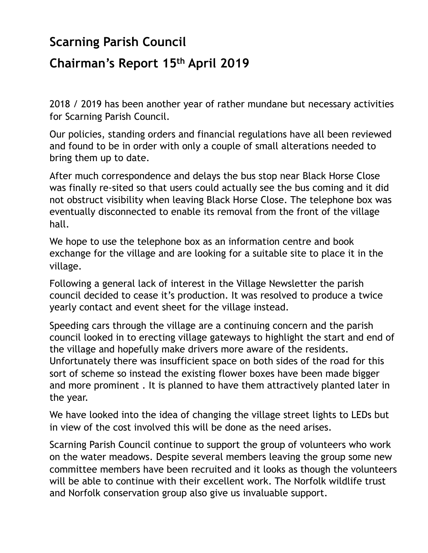# **Scarning Parish Council**

# **Chairman's Report 15th April 2019**

2018 / 2019 has been another year of rather mundane but necessary activities for Scarning Parish Council.

Our policies, standing orders and financial regulations have all been reviewed and found to be in order with only a couple of small alterations needed to bring them up to date.

After much correspondence and delays the bus stop near Black Horse Close was finally re-sited so that users could actually see the bus coming and it did not obstruct visibility when leaving Black Horse Close. The telephone box was eventually disconnected to enable its removal from the front of the village hall.

We hope to use the telephone box as an information centre and book exchange for the village and are looking for a suitable site to place it in the village.

Following a general lack of interest in the Village Newsletter the parish council decided to cease it's production. It was resolved to produce a twice yearly contact and event sheet for the village instead.

Speeding cars through the village are a continuing concern and the parish council looked in to erecting village gateways to highlight the start and end of the village and hopefully make drivers more aware of the residents. Unfortunately there was insufficient space on both sides of the road for this sort of scheme so instead the existing flower boxes have been made bigger and more prominent . It is planned to have them attractively planted later in the year.

We have looked into the idea of changing the village street lights to LEDs but in view of the cost involved this will be done as the need arises.

Scarning Parish Council continue to support the group of volunteers who work on the water meadows. Despite several members leaving the group some new committee members have been recruited and it looks as though the volunteers will be able to continue with their excellent work. The Norfolk wildlife trust and Norfolk conservation group also give us invaluable support.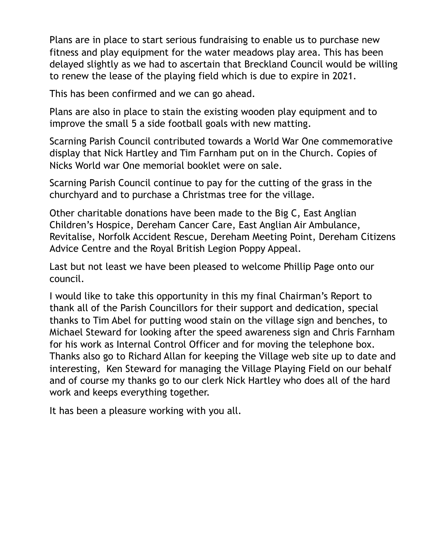Plans are in place to start serious fundraising to enable us to purchase new fitness and play equipment for the water meadows play area. This has been delayed slightly as we had to ascertain that Breckland Council would be willing to renew the lease of the playing field which is due to expire in 2021.

This has been confirmed and we can go ahead.

Plans are also in place to stain the existing wooden play equipment and to improve the small 5 a side football goals with new matting.

Scarning Parish Council contributed towards a World War One commemorative display that Nick Hartley and Tim Farnham put on in the Church. Copies of Nicks World war One memorial booklet were on sale.

Scarning Parish Council continue to pay for the cutting of the grass in the churchyard and to purchase a Christmas tree for the village.

Other charitable donations have been made to the Big C, East Anglian Children's Hospice, Dereham Cancer Care, East Anglian Air Ambulance, Revitalise, Norfolk Accident Rescue, Dereham Meeting Point, Dereham Citizens Advice Centre and the Royal British Legion Poppy Appeal.

Last but not least we have been pleased to welcome Phillip Page onto our council.

I would like to take this opportunity in this my final Chairman's Report to thank all of the Parish Councillors for their support and dedication, special thanks to Tim Abel for putting wood stain on the village sign and benches, to Michael Steward for looking after the speed awareness sign and Chris Farnham for his work as Internal Control Officer and for moving the telephone box. Thanks also go to Richard Allan for keeping the Village web site up to date and interesting, Ken Steward for managing the Village Playing Field on our behalf and of course my thanks go to our clerk Nick Hartley who does all of the hard work and keeps everything together.

It has been a pleasure working with you all.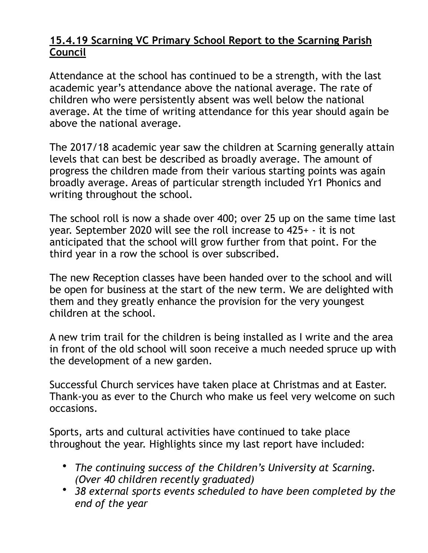# **15.4.19 Scarning VC Primary School Report to the Scarning Parish Council**

Attendance at the school has continued to be a strength, with the last academic year's attendance above the national average. The rate of children who were persistently absent was well below the national average. At the time of writing attendance for this year should again be above the national average.

The 2017/18 academic year saw the children at Scarning generally attain levels that can best be described as broadly average. The amount of progress the children made from their various starting points was again broadly average. Areas of particular strength included Yr1 Phonics and writing throughout the school.

The school roll is now a shade over 400; over 25 up on the same time last year. September 2020 will see the roll increase to 425+ - it is not anticipated that the school will grow further from that point. For the third year in a row the school is over subscribed.

The new Reception classes have been handed over to the school and will be open for business at the start of the new term. We are delighted with them and they greatly enhance the provision for the very youngest children at the school.

A new trim trail for the children is being installed as I write and the area in front of the old school will soon receive a much needed spruce up with the development of a new garden.

Successful Church services have taken place at Christmas and at Easter. Thank-you as ever to the Church who make us feel very welcome on such occasions.

Sports, arts and cultural activities have continued to take place throughout the year. Highlights since my last report have included:

- *The continuing success of the Children's University at Scarning. (Over 40 children recently graduated)*
- *38 external sports events scheduled to have been completed by the end of the year*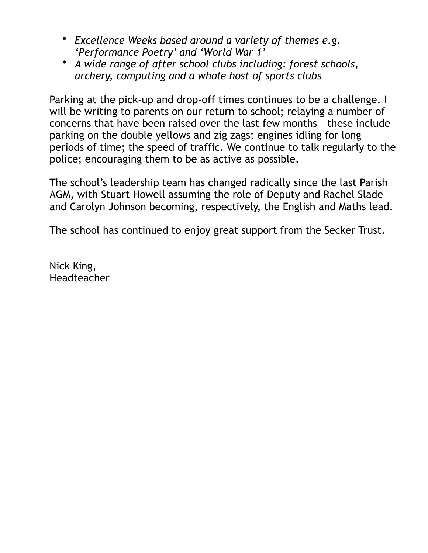- *Excellence Weeks based around a variety of themes e.g. 'Performance Poetry' and 'World War 1'*
- *A wide range of after school clubs including: forest schools, archery, computing and a whole host of sports clubs*

Parking at the pick-up and drop-off times continues to be a challenge. I will be writing to parents on our return to school; relaying a number of concerns that have been raised over the last few months – these include parking on the double yellows and zig zags; engines idling for long periods of time; the speed of traffic. We continue to talk regularly to the police; encouraging them to be as active as possible.

The school's leadership team has changed radically since the last Parish AGM, with Stuart Howell assuming the role of Deputy and Rachel Slade and Carolyn Johnson becoming, respectively, the English and Maths lead.

The school has continued to enjoy great support from the Secker Trust.

Nick King, Headteacher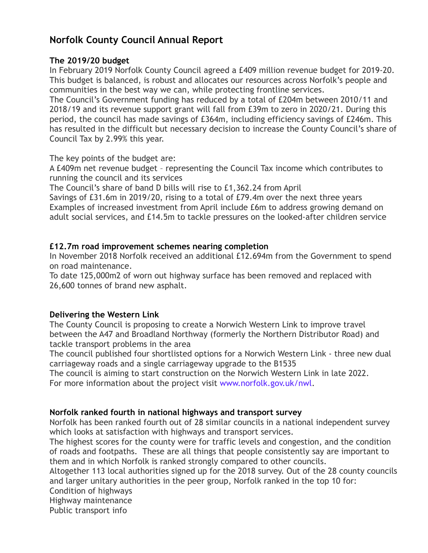## **Norfolk County Council Annual Report**

#### **The 2019/20 budget**

In February 2019 Norfolk County Council agreed a £409 million revenue budget for 2019-20. This budget is balanced, is robust and allocates our resources across Norfolk's people and communities in the best way we can, while protecting frontline services.

The Council's Government funding has reduced by a total of £204m between 2010/11 and 2018/19 and its revenue support grant will fall from £39m to zero in 2020/21. During this period, the council has made savings of £364m, including efficiency savings of £246m. This has resulted in the difficult but necessary decision to increase the County Council's share of Council Tax by 2.99% this year.

The key points of the budget are:

A £409m net revenue budget – representing the Council Tax income which contributes to running the council and its services

The Council's share of band D bills will rise to £1,362.24 from April

Savings of £31.6m in 2019/20, rising to a total of £79.4m over the next three years Examples of increased investment from April include £6m to address growing demand on adult social services, and £14.5m to tackle pressures on the looked-after children service

#### **£12.7m road improvement schemes nearing completion**

In November 2018 Norfolk received an additional £12.694m from the Government to spend on road maintenance.

To date 125,000m2 of worn out highway surface has been removed and replaced with 26,600 tonnes of brand new asphalt.

#### **Delivering the Western Link**

The County Council is proposing to create a Norwich Western Link to improve travel between the A47 and Broadland Northway (formerly the Northern Distributor Road) and tackle transport problems in the area

The council published four shortlisted options for a Norwich Western Link - three new dual carriageway roads and a single carriageway upgrade to the B1535

The council is aiming to start construction on the Norwich Western Link in late 2022. For more information about the project visit [www.norfolk.gov.uk/nwl](https://www.norfolk.gov.uk/nwl).

#### **Norfolk ranked fourth in national highways and transport survey**

Norfolk has been ranked fourth out of 28 similar councils in a national independent survey which looks at satisfaction with highways and transport services.

The highest scores for the county were for traffic levels and congestion, and the condition of roads and footpaths. These are all things that people consistently say are important to them and in which Norfolk is ranked strongly compared to other councils.

Altogether 113 local authorities signed up for the 2018 survey. Out of the 28 county councils and larger unitary authorities in the peer group, Norfolk ranked in the top 10 for:

Condition of highways

Highway maintenance

Public transport info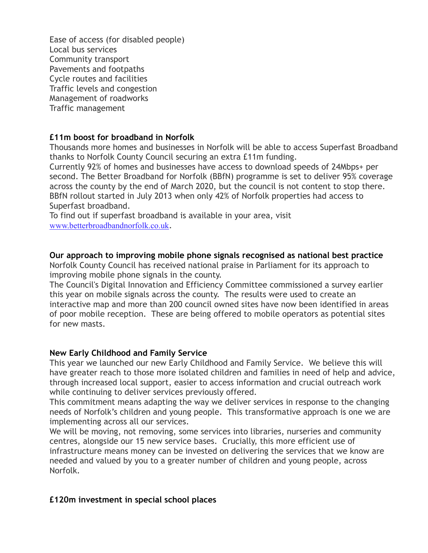Ease of access (for disabled people) Local bus services Community transport Pavements and footpaths Cycle routes and facilities Traffic levels and congestion Management of roadworks Traffic management

#### **£11m boost for broadband in Norfolk**

Thousands more homes and businesses in Norfolk will be able to access Superfast Broadband thanks to Norfolk County Council securing an extra £11m funding.

Currently 92% of homes and businesses have access to download speeds of 24Mbps+ per second. The Better Broadband for Norfolk (BBfN) programme is set to deliver 95% coverage across the county by the end of March 2020, but the council is not content to stop there. BBfN rollout started in July 2013 when only 42% of Norfolk properties had access to Superfast broadband.

To find out if superfast broadband is available in your area, visit [www.betterbroadbandnorfolk.co.uk](https://www.betterbroadbandnorfolk.co.uk/).

#### **Our approach to improving mobile phone signals recognised as national best practice**

Norfolk County Council has received national praise in Parliament for its approach to improving mobile phone signals in the county.

The Council's Digital Innovation and Efficiency Committee commissioned a survey earlier this year on mobile signals across the county. The results were used to create an interactive map and more than 200 council owned sites have now been identified in areas of poor mobile reception. These are being offered to mobile operators as potential sites for new masts.

#### **New Early Childhood and Family Service**

This year we launched our new Early Childhood and Family Service. We believe this will have greater reach to those more isolated children and families in need of help and advice, through increased local support, easier to access information and crucial outreach work while continuing to deliver services previously offered.

This commitment means adapting the way we deliver services in response to the changing needs of Norfolk's children and young people. This transformative approach is one we are implementing across all our services.

We will be moving, not removing, some services into libraries, nurseries and community centres, alongside our 15 new service bases. Crucially, this more efficient use of infrastructure means money can be invested on delivering the services that we know are needed and valued by you to a greater number of children and young people, across Norfolk.

#### **£120m investment in special school places**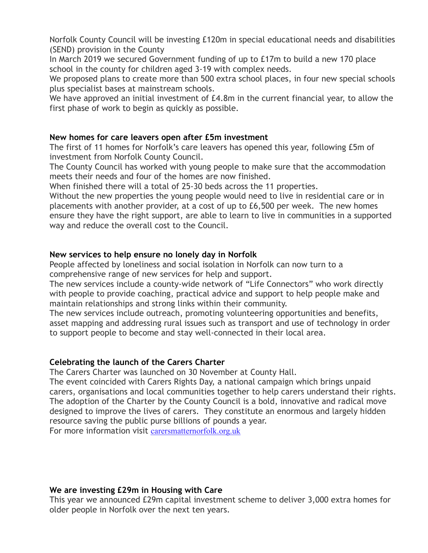Norfolk County Council will be investing £120m in special educational needs and disabilities (SEND) provision in the County

In March 2019 we secured Government funding of up to £17m to build a new 170 place school in the county for children aged 3-19 with complex needs.

We proposed plans to create more than 500 extra school places, in four new special schools plus specialist bases at mainstream schools.

We have approved an initial investment of £4.8m in the current financial year, to allow the first phase of work to begin as quickly as possible.

#### **New homes for care leavers open after £5m investment**

The first of 11 homes for Norfolk's care leavers has opened this year, following £5m of investment from Norfolk County Council.

The County Council has worked with young people to make sure that the accommodation meets their needs and four of the homes are now finished.

When finished there will a total of 25-30 beds across the 11 properties.

Without the new properties the young people would need to live in residential care or in placements with another provider, at a cost of up to £6,500 per week. The new homes ensure they have the right support, are able to learn to live in communities in a supported way and reduce the overall cost to the Council.

#### **New services to help ensure no lonely day in Norfolk**

People affected by loneliness and social isolation in Norfolk can now turn to a comprehensive range of new services for help and support.

The new services include a county-wide network of "Life Connectors" who work directly with people to provide coaching, practical advice and support to help people make and maintain relationships and strong links within their community.

The new services include outreach, promoting volunteering opportunities and benefits, asset mapping and addressing rural issues such as transport and use of technology in order to support people to become and stay well-connected in their local area.

#### **Celebrating the launch of the Carers Charter**

The Carers Charter was launched on 30 November at County Hall.

The event coincided with Carers Rights Day, a national campaign which brings unpaid carers, organisations and local communities together to help carers understand their rights. The adoption of the Charter by the County Council is a bold, innovative and radical move designed to improve the lives of carers. They constitute an enormous and largely hidden resource saving the public purse billions of pounds a year.

For more information visit [carersmatternorfolk.org.uk](https://carersmatternorfolk.org.uk/)

#### **We are investing £29m in Housing with Care**

This year we announced £29m capital investment scheme to deliver 3,000 extra homes for older people in Norfolk over the next ten years.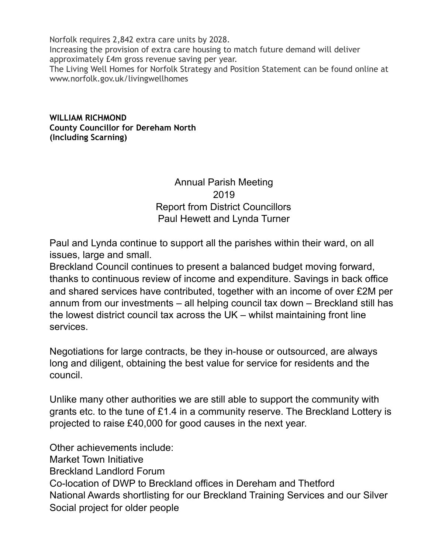Norfolk requires 2,842 extra care units by 2028. Increasing the provision of extra care housing to match future demand will deliver approximately £4m gross revenue saving per year. The Living Well Homes for Norfolk Strategy and Position Statement can be found online at [www.norfolk.gov.uk/livingwellhomes](http://www.norfolk.gov.uk/livingwellhomes)

**WILLIAM RICHMOND County Councillor for Dereham North (Including Scarning)** 

> Annual Parish Meeting 2019 Report from District Councillors Paul Hewett and Lynda Turner

Paul and Lynda continue to support all the parishes within their ward, on all issues, large and small.

Breckland Council continues to present a balanced budget moving forward, thanks to continuous review of income and expenditure. Savings in back office and shared services have contributed, together with an income of over £2M per annum from our investments – all helping council tax down – Breckland still has the lowest district council tax across the UK – whilst maintaining front line services.

Negotiations for large contracts, be they in-house or outsourced, are always long and diligent, obtaining the best value for service for residents and the council.

Unlike many other authorities we are still able to support the community with grants etc. to the tune of £1.4 in a community reserve. The Breckland Lottery is projected to raise £40,000 for good causes in the next year.

Other achievements include: Market Town Initiative Breckland Landlord Forum Co-location of DWP to Breckland offices in Dereham and Thetford National Awards shortlisting for our Breckland Training Services and our Silver Social project for older people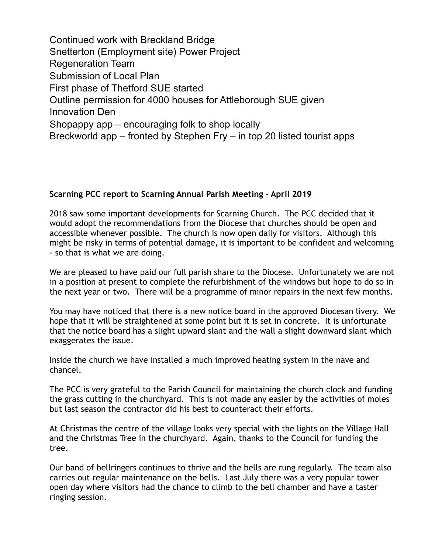Continued work with Breckland Bridge Snetterton (Employment site) Power Project Regeneration Team Submission of Local Plan First phase of Thetford SUE started Outline permission for 4000 houses for Attleborough SUE given Innovation Den Shopappy app – encouraging folk to shop locally Breckworld app – fronted by Stephen Fry – in top 20 listed tourist apps

#### **Scarning PCC report to Scarning Annual Parish Meeting - April 2019**

2018 saw some important developments for Scarning Church. The PCC decided that it would adopt the recommendations from the Diocese that churches should be open and accessible whenever possible. The church is now open daily for visitors. Although this might be risky in terms of potential damage, it is important to be confident and welcoming - so that is what we are doing.

We are pleased to have paid our full parish share to the Diocese. Unfortunately we are not in a position at present to complete the refurbishment of the windows but hope to do so in the next year or two. There will be a programme of minor repairs in the next few months.

You may have noticed that there is a new notice board in the approved Diocesan livery. We hope that it will be straightened at some point but it is set in concrete. It is unfortunate that the notice board has a slight upward slant and the wall a slight downward slant which exaggerates the issue.

Inside the church we have installed a much improved heating system in the nave and chancel.

The PCC is very grateful to the Parish Council for maintaining the church clock and funding the grass cutting in the churchyard. This is not made any easier by the activities of moles but last season the contractor did his best to counteract their efforts.

At Christmas the centre of the village looks very special with the lights on the Village Hall and the Christmas Tree in the churchyard. Again, thanks to the Council for funding the tree.

Our band of bellringers continues to thrive and the bells are rung regularly. The team also carries out regular maintenance on the bells. Last July there was a very popular tower open day where visitors had the chance to climb to the bell chamber and have a taster ringing session.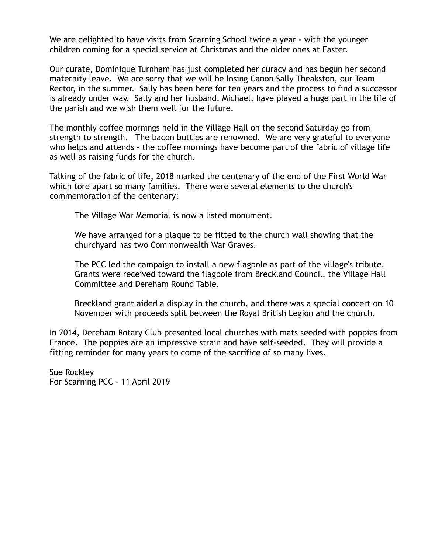We are delighted to have visits from Scarning School twice a year - with the younger children coming for a special service at Christmas and the older ones at Easter.

Our curate, Dominique Turnham has just completed her curacy and has begun her second maternity leave. We are sorry that we will be losing Canon Sally Theakston, our Team Rector, in the summer. Sally has been here for ten years and the process to find a successor is already under way. Sally and her husband, Michael, have played a huge part in the life of the parish and we wish them well for the future.

The monthly coffee mornings held in the Village Hall on the second Saturday go from strength to strength. The bacon butties are renowned. We are very grateful to everyone who helps and attends - the coffee mornings have become part of the fabric of village life as well as raising funds for the church.

Talking of the fabric of life, 2018 marked the centenary of the end of the First World War which tore apart so many families. There were several elements to the church's commemoration of the centenary:

The Village War Memorial is now a listed monument.

We have arranged for a plaque to be fitted to the church wall showing that the churchyard has two Commonwealth War Graves.

The PCC led the campaign to install a new flagpole as part of the village's tribute. Grants were received toward the flagpole from Breckland Council, the Village Hall Committee and Dereham Round Table.

Breckland grant aided a display in the church, and there was a special concert on 10 November with proceeds split between the Royal British Legion and the church.

In 2014, Dereham Rotary Club presented local churches with mats seeded with poppies from France. The poppies are an impressive strain and have self-seeded. They will provide a fitting reminder for many years to come of the sacrifice of so many lives.

Sue Rockley For Scarning PCC - 11 April 2019